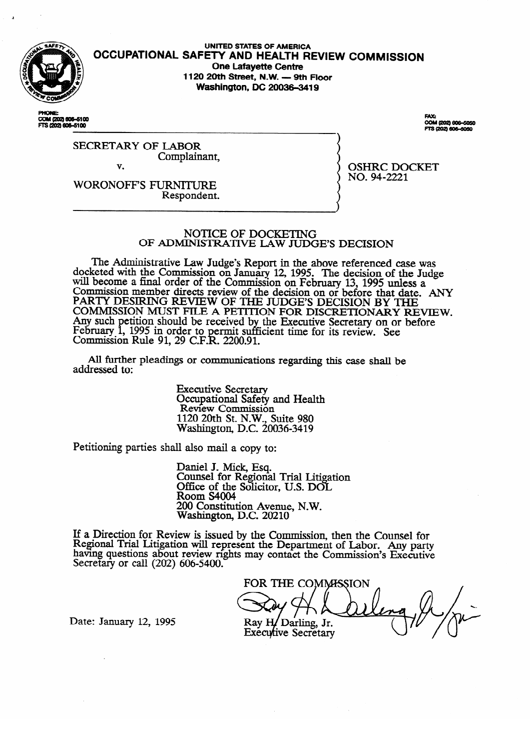

#### **UNITED STATES OF AMERICA OCCUPATIONAL SAFETY AND HEALTH REVIEW COMMISSION One Lafayette Centm 1120 20th Street, N.W. - 9th Floor Washington, DC 20036-3419**

COM (202) 606-6100<br>FTS (202) 606-6100

**FAX:** ......<br>COM (202) 606-5050<br>FTS (202) 606-6050

OSHRC DOCKET<br>NO. 94-2221

NO. 94-2221

SECRETARY OF LABOR<br>Complainant. Complainant, v.

Respondent.

Respondent.

#### NOTICE OF DOCKETING OF ADMINISTRATIVE LAW JUDGE'S DECISION

The Administrative Law Judge's Report in the above referenced case was docketed with the Commission on January 12, 1995. The decision of the Judge will become a final order of the Commission on February 13, 1995 unless a COMMISSION MEMBER QUECTS FEVIEW OF the decision on or before that date.<br>BARTY DESIDING REVIEW OF THE HEOFIS DECISION BY THE CANT LUCSINING KEVIEW OF THE JUDGE'S DECISION BY THE<br>COMMISSION MUST FILE A DETERON FOR DISCRETIONARY REVIEW. COMMISSION MOST FILE A FETTION FOR DISCRETIONARY RE Any such petition should be received by the Executive Secretary on or before

All further pleadings or communications regarding this case shall be  $A$  further pleading or communications regarding the communications regarding the communications regarding the communications  $A$ 

> **Executive Secretary** Occupational Safety and Health<br>Review Commission 1120 20th St. N.W., Suite 980 Washington, D.C. 20  $1120$   $1120$   $1120$   $1120$   $1120$

Petitioning parties shall also mail a copy to:

Daniel J. Mick, Esq.<br>Counsel for Regional Trial Litigation Office of the Solicitor, U.S. DOL Room S4004 200 Constitution Avenue, N.W. Washington, D.C. 20210

 $200$  constitution  $21$ ,  $4 \cdot 2 \cdot 2 \cdot 3$  $\text{few}$  is issued by the Com In a Direction for Review is in a contact the Commission's Executive Secretary or call (200) 606 5400 Secretary or call  $(202)$  606-5400.

FOR THE COMMISSION Ray H/Darling, Jr. **Executive Secretary** 

Date: January 12, 1995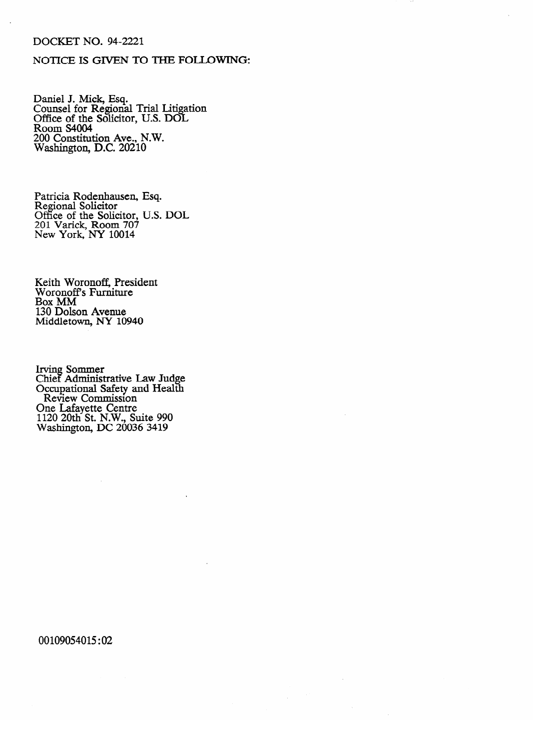#### DOCKET NO. 94-2221

### NOTICE IS GIVEN TO THE FOLLOWING:

Daillel J. Mick, Esq.<br>Counsel for Degiona Counsel for Regional Trial Litigation<br>Office of the Solicitor TTS DOL Office of the Solicitor, U.S. DOI ROOM S<del>T</del>OOT<br>200 Constituti  $200$  Constitution  $T_{\text{av}}$ , N.W. Washington, D.C. 20210

Regional Solicitor Office of the Solic 201 Varick, Room 70 **2014** New York, NY 10014  $\frac{1}{2}$ 

Keith Woronoff, President<br>Woronoff's Furniture<br>Box MM  $\frac{360 \text{ M}}{120 \text{ N}}$  $150$  DOISe whaaletown, in ruid

Cifici Aduums<br>Occupational Cecupational balcty and freath **One I afavette Centre**  $R^2$  20th St. N.W. S  $\overline{\text{W}}$ ashington. DC 2003  $1120$   $1120$   $1120$ 

00109054015:02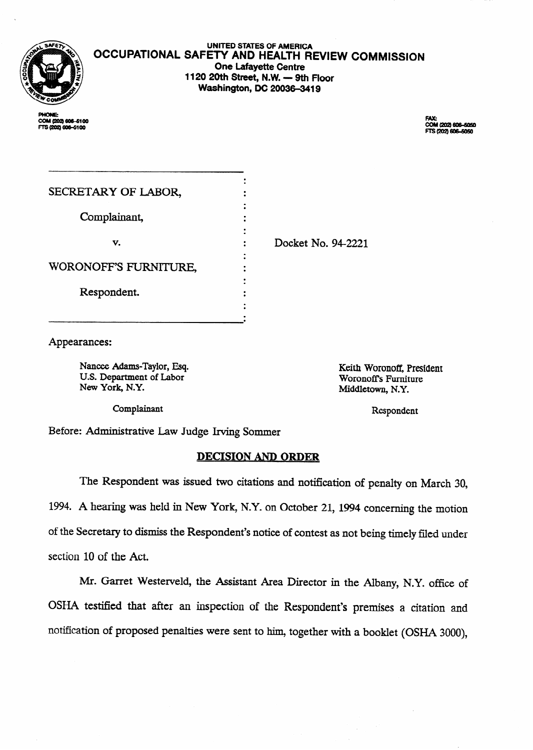

**UNITED STATES OF AMERICA OCCUPATIONAL SAFETY AND HEALTH REVIEW COMMISSION One Lafayette Centre 1120 20th Street, N.W. - 9th Floor Washington, DC 20036-3419** 

COM (202) 606-6100 FTS (202) 606-6100

FAX:<br>COM (202) 606-5050<br>FTS (202) 606-5050

| SECRETARY OF LABOR,   |                    |
|-----------------------|--------------------|
|                       |                    |
| Complainant,          |                    |
| v.                    | Docket No. 94-2221 |
| WORONOFF'S FURNITURE, |                    |
| Respondent.           |                    |
|                       |                    |

Appearances:

Nancee Adams-Taylor, Esq.<br>
U.S. Department of Labor<br>
U.S. Department of Labor<br>
Woronoff's Furniture U.S. Department of Labor Woronoffs Furniture<br>New York, N.Y. Middletown, N.Y.

Middletown, N.Y.

Complainant

Respondent

Before: Administrative Law Judge Irving Sommer

## **DECISION AND ORDER**

The Respondent was issued two citations and notification of penalty on March 30, 1994. A hearing was held in New York, N.Y. on October 21, 1994 concerning the motion of the Secretary to dismiss the Respondent's notice of contest as not being timely filed under section 10 of the Act.

Mr. Garret Westerveld, the Assistant Area Director in the Albany, N.Y. office of OSHA testified that after an inspection of the Respondent's premises a citation and notification of proposed penalties were sent to him, together with a booklet (OSHA 3000),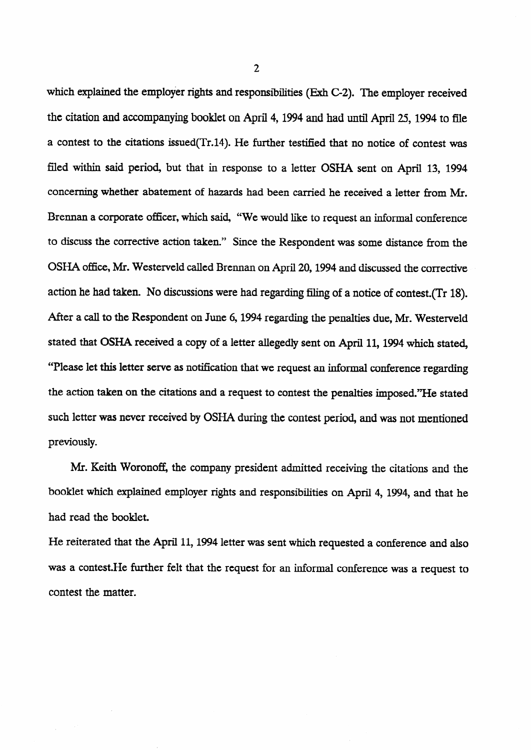which explained the employer rights and responsibilities (Exh C-2). The employer received the citation and accompanying booklet on April 4,1994 and had until April 25,1994 to file a contest to the citations issued(Tr.14). He further testified that no notice of contest was filed within said period, but that in response to a letter OSHA sent on April 13, 1994 concerning whether abatement of hazards had been carried he received a letter from Mr. Brennan a corporate officer, which said, "We would like to request an informal conference to discuss the conective action taken." Since the Respondent was some distance from the OSHA office, Mr. Westerveld called Brennan on April 20,1994 and discussed the corrective action he had taken. No discussions were had regarding filing of a notice of contest.(Tr 18). After a call to the Respondent on June 6,1994 regarding the penalties due, Mr. Westerveld stated that OSHA received a copy of a letter allegedly sent on April 11, 1994 which stated, "Please let this letter serve as notification that we request an informal conference regarding the action taken on the citations and a request to contest the penalties imposed."He stated such letter was never received by OSHA during the contest period, and was not mentioned previously.

Mr. Keith Woronoff; the company president admitted receiving the citations and the booklet which explained employer rights and responsibilities on April 4, 1994, and that he had read the booklet.

He reiterated that the April 11, 1994 letter was sent which requested a conference and also was a contest.He further felt that the request for an informal conference was a request to contest the matter.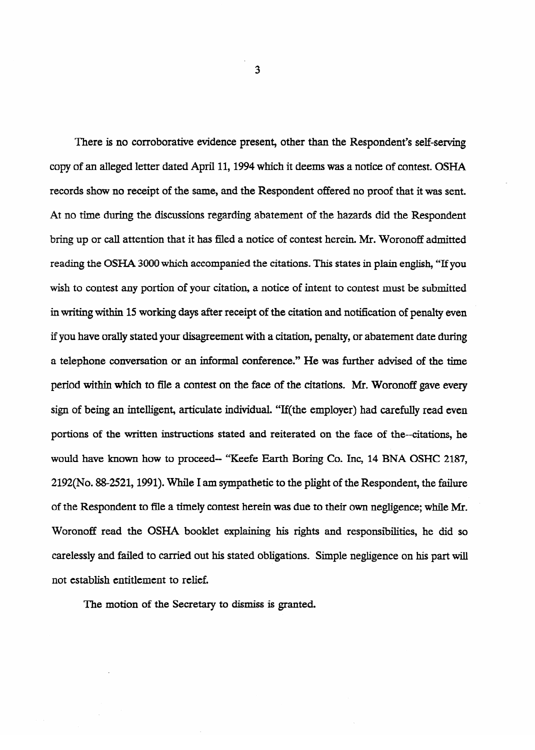There is no corroborative evidence present, other than the Respondent's self-serving copy of an alleged letter dated April 11,1994 which it deems was a notice of contest. OSHA records show no receipt of the same, and the Respondent offered no proof that it was sent. At no time during the discussions regarding abatement of the hazards did the Respondent bring up or call attention that it has filed a notice of contest herein. Mr. Woronoff admitted reading the OSHA 3000 which accompanied the citations. This states in plain english, "If you wish to contest any portion of your citation, a notice of intent to contest must be submitted in writing within 15 working days after receipt of the citation and notification of penalty even if you have orally stated your disagreement with a citation, penalty, or abatement date during a telephone conversation or an informal conference." He was further advised of the time period within which to file a contest on the face of the citations. Mr. Woronoff gave every sign of being an intelligent, articulate individual. "If(the employer) had carefully read even  $p$  and reiterated and reiterated on the face of the-citations, here face of the-citations,  $p$ whose  $\mathcal{L}$  is proceeded-  $\mathcal{L}$  extended boring  $\mathcal{L}$ 2192(No. 88-2521,199l). While I am sympathetic to the plight of the Respondent, the failure of the Respondent to file a timely contest herein was due to their own negligence; while Mr. of the Respondent to file a timely contest herein was due to their own negligence; while Mr. Woronoff read the OSHA booklet explaining his rights and responsibilities, he did so World read the OSHA booklet explaining his rights and response  $\mathcal{L}_\text{max}$  is rights and responsible solution carelessly and failed to carried out his stated obligations. Simple negligence on his part will carelessly and failed to carried out his stated obligations. Simple negligence on his part will not establish entitlement to relief.

The motion of the Secretary to dismiss is granted.

3